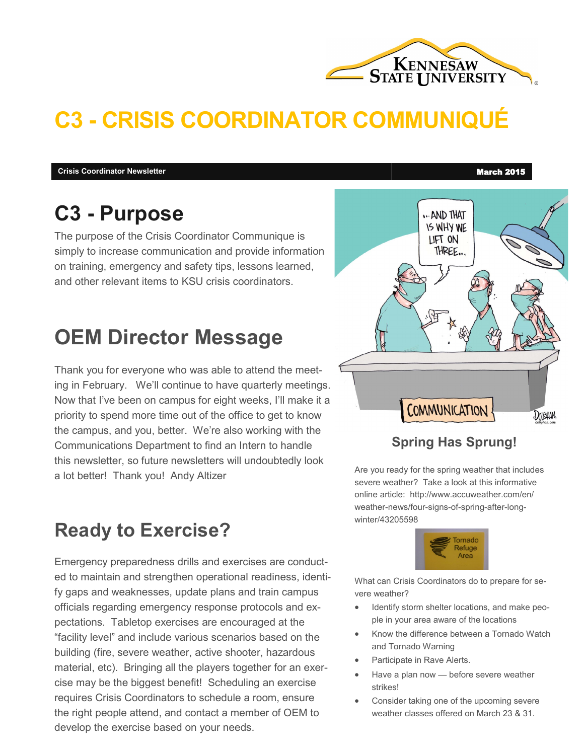

# **C3 - CRISIS COORDINATOR COMMUNIQUÉ**

**Crisis Coordinator Newsletter March 2015** 

## **C3 - Purpose**

The purpose of the Crisis Coordinator Communique is simply to increase communication and provide information on training, emergency and safety tips, lessons learned, and other relevant items to KSU crisis coordinators.

## **OEM Director Message**

Thank you for everyone who was able to attend the meeting in February. We'll continue to have quarterly meetings. Now that I've been on campus for eight weeks, I'll make it a priority to spend more time out of the office to get to know the campus, and you, better. We're also working with the Communications Department to find an Intern to handle this newsletter, so future newsletters will undoubtedly look a lot better! Thank you! Andy Altizer

## **Ready to Exercise?**

Emergency preparedness drills and exercises are conducted to maintain and strengthen operational readiness, identify gaps and weaknesses, update plans and train campus officials regarding emergency response protocols and expectations. Tabletop exercises are encouraged at the "facility level" and include various scenarios based on the building (fire, severe weather, active shooter, hazardous material, etc). Bringing all the players together for an exercise may be the biggest benefit! Scheduling an exercise requires Crisis Coordinators to schedule a room, ensure the right people attend, and contact a member of OEM to develop the exercise based on your needs.

... AND THAT **IS WHY WE** LIFT ON THREE. COMMUNICATION Dolishan

### **Spring Has Sprung!**

Are you ready for the spring weather that includes severe weather? Take a look at this informative online article: http://www.accuweather.com/en/ weather-news/four-signs-of-spring-after-longwinter/43205598



What can Crisis Coordinators do to prepare for severe weather?

- Identify storm shelter locations, and make people in your area aware of the locations
- Know the difference between a Tornado Watch and Tornado Warning
- Participate in Rave Alerts.
- Have a plan now before severe weather strikes!
- Consider taking one of the upcoming severe weather classes offered on March 23 & 31.